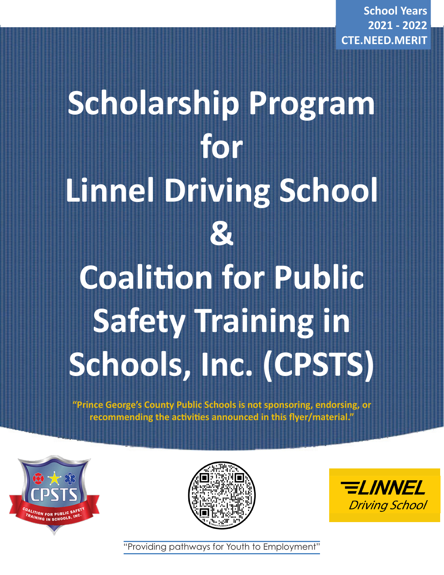**School Years 2021 - 2022 CTE.NEED.MERIT**

# **Scholarship Program for Linnel Driving School & Coalition for Public Safety Training in Schools, Inc. (CPSTS)**

**"Prince George's County Public Schools is not sponsoring, endorsing, or recommending the activities announced in this flyer/material."**







"Providing pathways for Youth to Employment"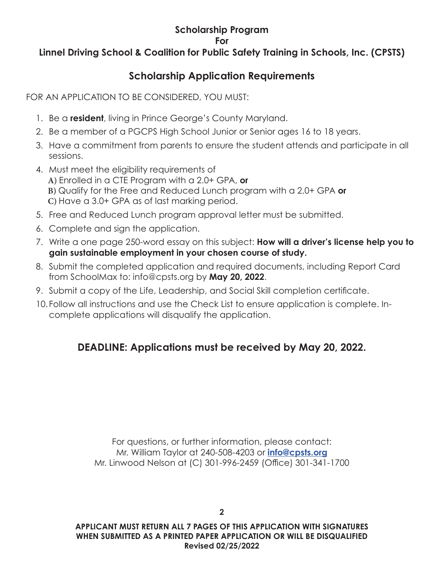#### **Scholarship Program**

**For**

## **Linnel Driving School & Coalition for Public Safety Training in Schools, Inc. (CPSTS)**

## **Scholarship Application Requirements**

FOR AN APPLICATION TO BE CONSIDERED, YOU MUST:

- 1. Be a **resident**, living in Prince George's County Maryland.
- 2. Be a member of a PGCPS High School Junior or Senior ages 16 to 18 years.
- 3. Have a commitment from parents to ensure the student attends and participate in all sessions.
- 4. Must meet the eligibility requirements of **A)** Enrolled in a CTE Program with a 2.0+ GPA, **or B)** Qualify for the Free and Reduced Lunch program with a 2.0+ GPA **or C)** Have a 3.0+ GPA as of last marking period.
- 5. Free and Reduced Lunch program approval letter must be submitted.
- 6. Complete and sign the application.
- 7. Write a one page 250-word essay on this subject: **How will a driver's license help you to gain sustainable employment in your chosen course of study.**
- 8. Submit the completed application and required documents, including Report Card from SchoolMax to: info@cpsts.org by **May 20, 2022**.
- 9. Submit a copy of the Life, Leadership, and Social Skill completion certificate.
- 10.Follow all instructions and use the Check List to ensure application is complete. Incomplete applications will disqualify the application.

# **DEADLINE: Applications must be received by May 20, 2022.**

For questions, or further information, please contact: Mr. William Taylor at 240-508-4203 or **info@cpsts.org** Mr. Linwood Nelson at (C) 301-996-2459 (Office) 301-341-1700

**APPLICANT MUST RETURN ALL 7 PAGES OF THIS APPLICATION WITH SIGNATURES WHEN SUBMITTED AS A PRINTED PAPER APPLICATION OR WILL BE DISQUALIFIED Revised 02/25/2022**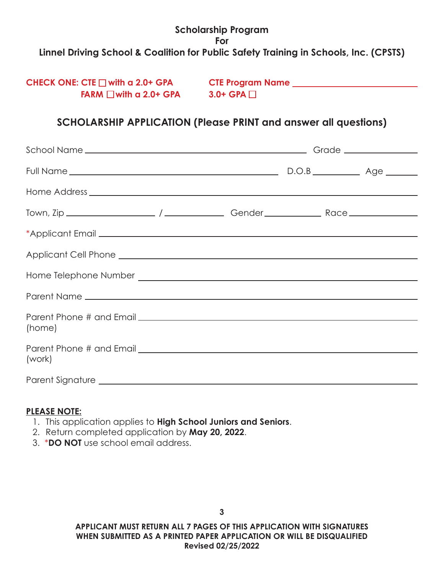## **CHECK ONE: CTE with a 2.0+ GPA CTE Program Name FARM**  $\Box$  **with a 2.0+ GPA**  $\Box$  3.0+ GPA  $\Box$

## **SCHOLARSHIP APPLICATION (Please PRINT and answer all questions)**

| Parent Name                                                                                                                                                                                                                   |  |  |  |
|-------------------------------------------------------------------------------------------------------------------------------------------------------------------------------------------------------------------------------|--|--|--|
| (home)                                                                                                                                                                                                                        |  |  |  |
|                                                                                                                                                                                                                               |  |  |  |
| (work)                                                                                                                                                                                                                        |  |  |  |
| Parent Signature Lawrence and the contract of the contract of the contract of the contract of the contract of the contract of the contract of the contract of the contract of the contract of the contract of the contract of |  |  |  |

#### **PLEASE NOTE:**

- 1. This application applies to **High School Juniors and Seniors**.
- 2. Return completed application by **May 20, 2022**.
- 3. \***DO NOT** use school email address.

**APPLICANT MUST RETURN ALL 7 PAGES OF THIS APPLICATION WITH SIGNATURES WHEN SUBMITTED AS A PRINTED PAPER APPLICATION OR WILL BE DISQUALIFIED Revised 02/25/2022**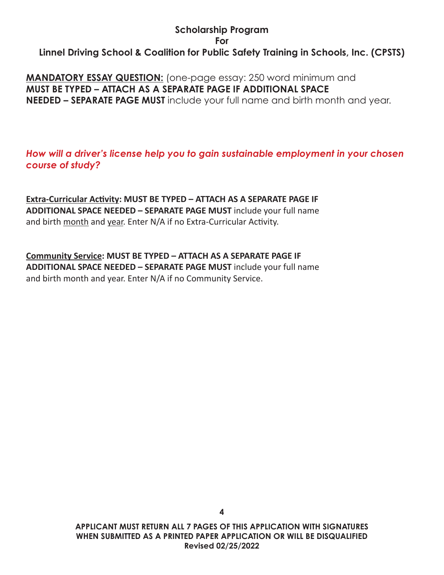**MANDATORY ESSAY QUESTION:** (one-page essay: 250 word minimum and **MUST BE TYPED – ATTACH AS A SEPARATE PAGE IF ADDITIONAL SPACE NEEDED – SEPARATE PAGE MUST** include your full name and birth month and year.

*How will a driver's license help you to gain sustainable employment in your chosen course of study?*

**Extra-Curricular Activity: MUST BE TYPED – ATTACH AS A SEPARATE PAGE IF ADDITIONAL SPACE NEEDED – SEPARATE PAGE MUST** include your full name and birth month and year. Enter N/A if no Extra-Curricular Activity.

**Community Service: MUST BE TYPED – ATTACH AS A SEPARATE PAGE IF ADDITIONAL SPACE NEEDED – SEPARATE PAGE MUST** include your full name and birth month and year. Enter N/A if no Community Service.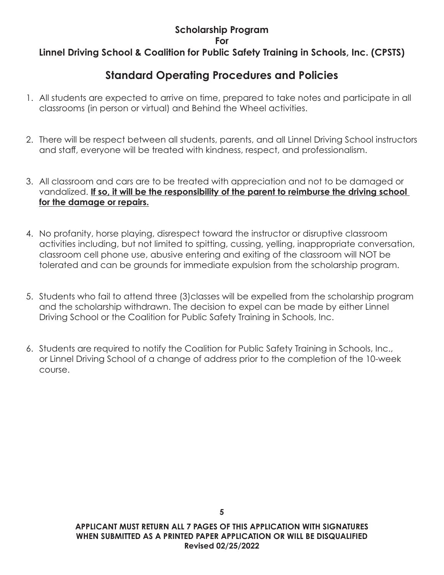# **Standard Operating Procedures and Policies**

- 1. All students are expected to arrive on time, prepared to take notes and participate in all classrooms (in person or virtual) and Behind the Wheel activities.
- 2. There will be respect between all students, parents, and all Linnel Driving School instructors and staff, everyone will be treated with kindness, respect, and professionalism.
- 3. All classroom and cars are to be treated with appreciation and not to be damaged or vandalized. **If so, it will be the responsibility of the parent to reimburse the driving school for the damage or repairs.**
- 4. No profanity, horse playing, disrespect toward the instructor or disruptive classroom activities including, but not limited to spitting, cussing, yelling, inappropriate conversation, classroom cell phone use, abusive entering and exiting of the classroom will NOT be tolerated and can be grounds for immediate expulsion from the scholarship program.
- 5. Students who fail to attend three (3)classes will be expelled from the scholarship program and the scholarship withdrawn. The decision to expel can be made by either Linnel Driving School or the Coalition for Public Safety Training in Schools, Inc.
- 6. Students are required to notify the Coalition for Public Safety Training in Schools, Inc., or Linnel Driving School of a change of address prior to the completion of the 10-week course.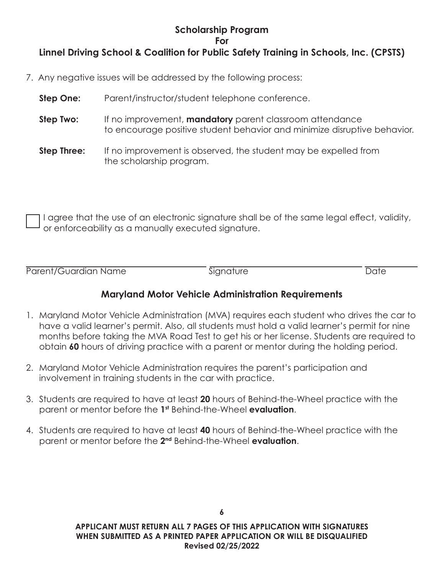- 7. Any negative issues will be addressed by the following process:
	- **Step One:** Parent/instructor/student telephone conference.
	- **Step Two:** If no improvement, **mandatory** parent classroom attendance to encourage positive student behavior and minimize disruptive behavior.
	- **Step Three:** If no improvement is observed, the student may be expelled from the scholarship program.

I agree that the use of an electronic signature shall be of the same legal effect, validity, or enforceability as a manually executed signature.

Parent/Guardian Name Signature Signature Date

#### **Maryland Motor Vehicle Administration Requirements**

- 1. Maryland Motor Vehicle Administration (MVA) requires each student who drives the car to have a valid learner's permit. Also, all students must hold a valid learner's permit for nine months before taking the MVA Road Test to get his or her license. Students are required to obtain **60** hours of driving practice with a parent or mentor during the holding period.
- 2. Maryland Motor Vehicle Administration requires the parent's participation and involvement in training students in the car with practice.
- 3. Students are required to have at least **20** hours of Behind-the-Wheel practice with the parent or mentor before the **1st** Behind-the-Wheel **evaluation**.
- 4. Students are required to have at least **40** hours of Behind-the-Wheel practice with the parent or mentor before the **2nd** Behind-the-Wheel **evaluation**.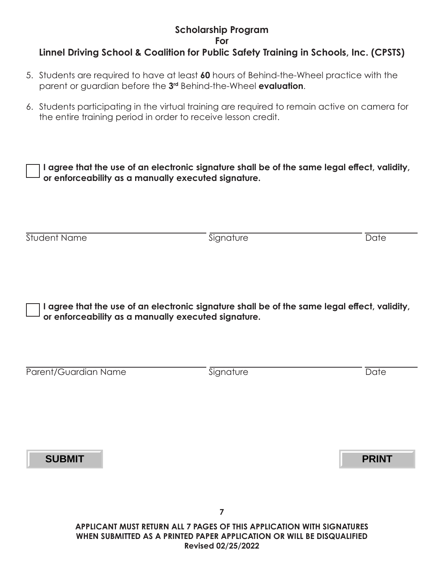#### **Scholarship Program For**

### **Linnel Driving School & Coalition for Public Safety Training in Schools, Inc. (CPSTS)**

- 5. Students are required to have at least **60** hours of Behind-the-Wheel practice with the parent or guardian before the **3rd** Behind-the-Wheel **evaluation**.
- 6. Students participating in the virtual training are required to remain active on camera for the entire training period in order to receive lesson credit.

**I agree that the use of an electronic signature shall be of the same legal effect, validity, or enforceability as a manually executed signature.**

Student Name Date Date Communication of Signature Date Date Date

**I agree that the use of an electronic signature shall be of the same legal effect, validity, or enforceability as a manually executed signature.**

| Parent/Guardian Name |  |
|----------------------|--|

**Signature Date** 

**SUBMIT PRINT**

**APPLICANT MUST RETURN ALL 7 PAGES OF THIS APPLICATION WITH SIGNATURES WHEN SUBMITTED AS A PRINTED PAPER APPLICATION OR WILL BE DISQUALIFIED Revised 02/25/2022**